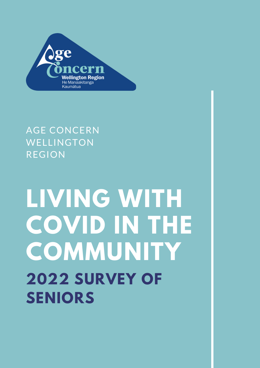

## AGE CONCERN WELLINGTON REGION

# **LIVING WITH COVID IN THE COMMUNITY 2022 SURVEY OF SENIORS**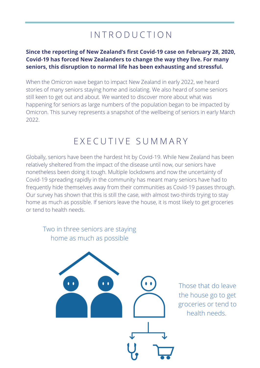### I N T R O D U C T I O N

#### **Since the reporting of New Zealand's first Covid-19 case on February 28, 2020, Covid-19 has forced New Zealanders to change the way they live. For many seniors, this disruption to normal life has been exhausting and stressful.**

When the Omicron wave began to impact New Zealand in early 2022, we heard stories of many seniors staying home and isolating. We also heard of some seniors still keen to get out and about. We wanted to discover more about what was happening for seniors as large numbers of the population began to be impacted by Omicron. This survey represents a snapshot of the wellbeing of seniors in early March 2022.

#### E X E C U T I V E S U M M A R Y

Globally, seniors have been the hardest hit by Covid-19. While New Zealand has been relatively sheltered from the impact of the disease until now, our seniors have nonetheless been doing it tough. Multiple lockdowns and now the uncertainty of Covid-19 spreading rapidly in the community has meant many seniors have had to frequently hide themselves away from their communities as Covid-19 passes through. Our survey has shown that this is still the case, with almost two-thirds trying to stay home as much as possible. If seniors leave the house, it is most likely to get groceries or tend to health needs.

Two in three seniors are staying home as much as possible

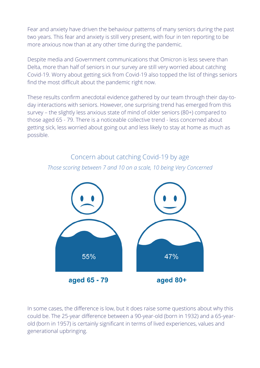Fear and anxiety have driven the behaviour patterns of many seniors during the past two years. This fear and anxiety is still very present, with four in ten reporting to be more anxious now than at any other time during the pandemic.

Despite media and Government communications that Omicron is less severe than Delta, more than half of seniors in our survey are still very worried about catching Covid-19. Worry about getting sick from Covid-19 also topped the list of things seniors find the most difficult about the pandemic right now.

These results confirm anecdotal evidence gathered by our team through their day-today interactions with seniors. However, one surprising trend has emerged from this survey – the slightly less anxious state of mind of older seniors (80+) compared to those aged 65 - 79. There is a noticeable collective trend - less concerned about getting sick, less worried about going out and less likely to stay at home as much as possible.

#### Concern about catching Covid-19 by age *Those scoring between 7 and 10 on a scale, 10 being Very Concerned*



In some cases, the difference is low, but it does raise some questions about why this could be. The 25-year difference between a 90-year-old (born in 1932) and a 65-yearold (born in 1957) is certainly significant in terms of lived experiences, values and generational upbringing.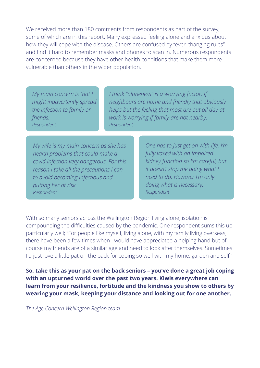We received more than 180 comments from respondents as part of the survey, some of which are in this report. Many expressed feeling alone and anxious about how they will cope with the disease. Others are confused by "ever-changing rules" and find it hard to remember masks and phones to scan in. Numerous respondents are concerned because they have other health conditions that make them more vulnerable than others in the wider population.

*My main concern is that I might inadvertently spread the infection to family or friends. Respondent*

*I think "aloneness" is a worrying factor. If neighbours are home and friendly that obviously helps but the feeling that most are out all day at work is worrying if family are not nearby. Respondent*

*My wife is my main concern as she has health problems that could make a covid infection very dangerous. For this reason I take all the precautions I can to avoid becoming infectious and putting her at risk. Respondent*

*One has to just get on with life. I'm fully vaxed with an impaired kidney function so I'm careful, but it doesn't stop me doing what I need to do. However I'm only doing what is necessary. Respondent*

With so many seniors across the Wellington Region living alone, isolation is compounding the difficulties caused by the pandemic. One respondent sums this up particularly well; "For people like myself, living alone, with my family living overseas, there have been a few times when I would have appreciated a helping hand but of course my friends are of a similar age and need to look after themselves. Sometimes I'd just love a little pat on the back for coping so well with my home, garden and self."

**So, take this as your pat on the back seniors – you've done a great job coping with an upturned world over the past two years. Kiwis everywhere can learn from your resilience, fortitude and the kindness you show to others by wearing your mask, keeping your distance and looking out for one another.**

*The Age Concern Wellington Region team*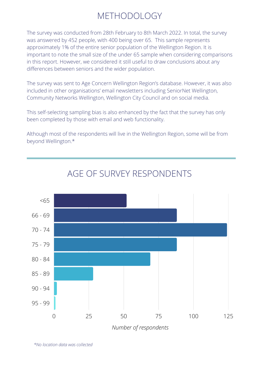### METHODOLOGY

The survey was conducted from 28th February to 8th March 2022. In total, the survey was answered by 452 people, with 400 being over 65. This sample represents approximately 1% of the entire senior population of the Wellington Region. It is important to note the small size of the under 65 sample when considering comparisons in this report. However, we considered it still useful to draw conclusions about any differences between seniors and the wider population.

The survey was sent to Age Concern Wellington Region's database. However, it was also included in other organisations' email newsletters including SeniorNet Wellington, Community Networks Wellington, Wellington City Council and on social media.

This self-selecting sampling bias is also enhanced by the fact that the survey has only been completed by those with email and web functionality.

Although most of the respondents will live in the Wellington Region, some will be from beyond Wellington.\*



#### AGE OF SURVEY RESPONDENTS

*Number of respondents*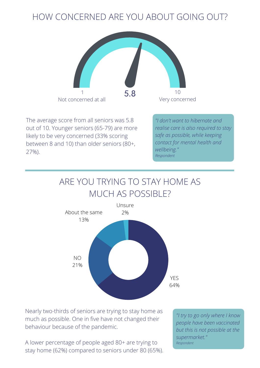#### HOW CONCERNED ARE YOU ABOUT GOING OUT?



The average score from all seniors was 5.8 out of 10. Younger seniors (65-79) are more likely to be very concerned (33% scoring between 8 and 10) than older seniors (80+, 27%).

*"I don't want to hibernate and realise care is also required to stay safe as possible, while keeping contact for mental health and wellbeing." Respondent*

#### ARE YOU TRYING TO STAY HOME AS MUCH AS POSSIBLE?



Nearly two-thirds of seniors are trying to stay home as much as possible. One in five have not changed their behaviour because of the pandemic.

A lower percentage of people aged 80+ are trying to stay home (62%) compared to seniors under 80 (65%).

*"I try to go only where I know people have been vaccinated but this is not possible at the supermarket." Respondent*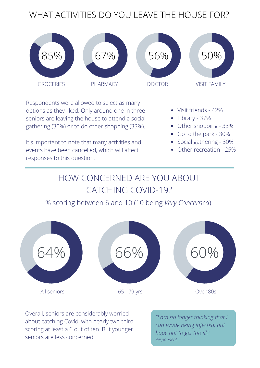### WHAT ACTIVITIES DO YOU LEAVE THE HOUSE FOR?



Respondents were allowed to select as many options as they liked. Only around one in three seniors are leaving the house to attend a social gathering (30%) or to do other shopping (33%).

It's important to note that many activities and events have been cancelled, which will affect responses to this question.

Visit friends - 42%

Library - 37%

Other shopping - 33%

Go to the park - 30%

Social gathering - 30%

Other recreation - 25%

## HOW CONCERNED ARE YOU ABOUT CATCHING COVID-19?

#### % scoring between 6 and 10 (10 being *Very Concerned*)



Overall, seniors are considerably worried about catching Covid, with nearly two-third scoring at least a 6 out of ten. But younger seniors are less concerned.

*"I am no longer thinking that I can evade being infected, but hope not to get too ill." Respondent*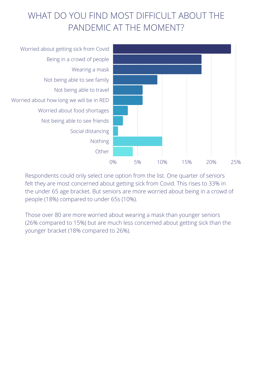## WHAT DO YOU FIND MOST DIFFICULT ABOUT THE PANDEMIC AT THE MOMENT?



Respondents could only select one option from the list. One quarter of seniors felt they are most concerned about getting sick from Covid. This rises to 33% in the under 65 age bracket. But seniors are more worried about being in a crowd of people (18%) compared to under 65s (10%).

Those over 80 are more worried about wearing a mask than younger seniors (26% compared to 15%) but are much less concerned about getting sick than the younger bracket (18% compared to 26%).